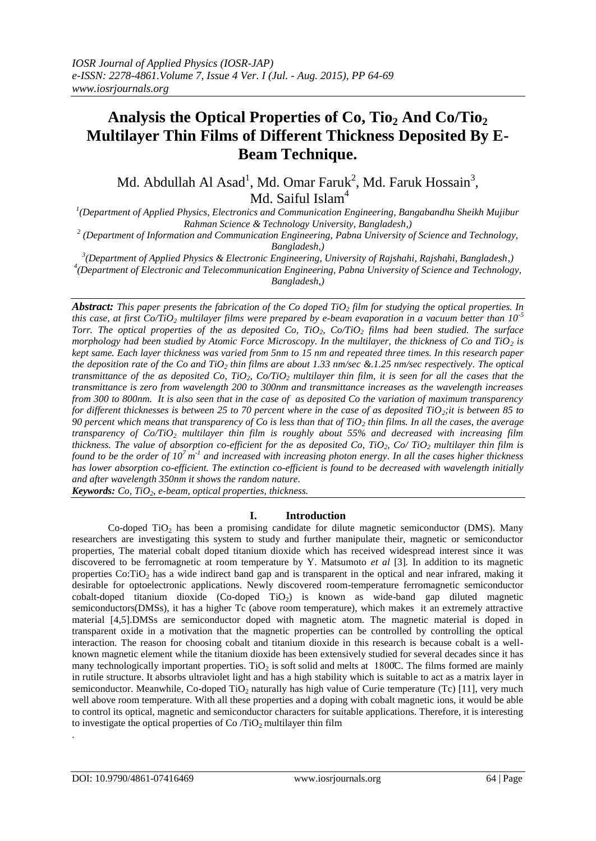# **Analysis the Optical Properties of Co, Tio<sup>2</sup> And Co/Tio<sup>2</sup> Multilayer Thin Films of Different Thickness Deposited By E-Beam Technique.**

Md. Abdullah Al Asad<sup>1</sup>, Md. Omar Faruk<sup>2</sup>, Md. Faruk Hossain<sup>3</sup>, Md. Saiful Islam<sup>4</sup>

*1 (Department of Applied Physics, Electronics and Communication Engineering, Bangabandhu Sheikh Mujibur Rahman Science & Technology University, Bangladesh,)*

*2 (Department of Information and Communication Engineering, Pabna University of Science and Technology, Bangladesh,)*

*3 (Department of Applied Physics & Electronic Engineering, University of Rajshahi, Rajshahi, Bangladesh,) 4 (Department of Electronic and Telecommunication Engineering, Pabna University of Science and Technology, Bangladesh,)*

*Abstract: This paper presents the fabrication of the Co doped TiO<sup>2</sup> film for studying the optical properties. In this case, at first Co/TiO<sup>2</sup> multilayer films were prepared by e-beam evaporation in a vacuum better than 10-5 Torr. The optical properties of the as deposited Co, TiO2, Co/TiO<sup>2</sup> films had been studied. The surface morphology had been studied by Atomic Force Microscopy. In the multilayer, the thickness of Co and TiO<sub>2</sub> is kept same. Each layer thickness was varied from 5nm to 15 nm and repeated three times. In this research paper the deposition rate of the Co and TiO<sup>2</sup> thin films are about 1.33 nm/sec &.1.25 nm/sec respectively. The optical transmittance of the as deposited Co, TiO2, Co/TiO<sup>2</sup> multilayer thin film, it is seen for all the cases that the transmittance is zero from wavelength 200 to 300nm and transmittance increases as the wavelength increases from 300 to 800nm. It is also seen that in the case of as deposited Co the variation of maximum transparency for different thicknesses is between 25 to 70 percent where in the case of as deposited TiO2;it is between 85 to 90 percent which means that transparency of Co is less than that of TiO<sup>2</sup> thin films. In all the cases, the average transparency of Co/TiO<sup>2</sup> multilayer thin film is roughly about 55% and decreased with increasing film thickness. The value of absorption co-efficient for the as deposited Co, TiO<sub>2</sub>, Co/ TiO<sub>2</sub> <i>multilayer thin film is found to be the order of 10<sup>7</sup> m<sup>-1</sup> and increased with increasing photon energy. In all the cases higher thickness has lower absorption co-efficient. The extinction co-efficient is found to be decreased with wavelength initially and after wavelength 350nm it shows the random nature.*

*Keywords: Co, TiO2, e-beam, optical properties, thickness.*

# **I. Introduction**

Co-doped TiO<sub>2</sub> has been a promising candidate for dilute magnetic semiconductor (DMS). Many researchers are investigating this system to study and further manipulate their, magnetic or semiconductor properties, The material cobalt doped titanium dioxide which has received widespread interest since it was discovered to be ferromagnetic at room temperature by Y. Matsumoto *et al* [3]*.* In addition to its magnetic properties  $Co: TiO<sub>2</sub>$  has a wide indirect band gap and is transparent in the optical and near infrared, making it desirable for optoelectronic applications. Newly discovered room-temperature ferromagnetic semiconductor cobalt-doped titanium dioxide (Co-doped TiO<sub>2</sub>) is known as wide-band gap diluted magnetic semiconductors(DMSs), it has a higher Tc (above room temperature), which makes it an extremely attractive material [4,5].DMSs are semiconductor doped with magnetic atom. The magnetic material is doped in transparent oxide in a motivation that the magnetic properties can be controlled by controlling the optical interaction. The reason for choosing cobalt and titanium dioxide in this research is because cobalt is a wellknown magnetic element while the titanium dioxide has been extensively studied for several decades since it has many technologically important properties. TiO<sub>2</sub> is soft solid and melts at 1800C. The films formed are mainly in rutile structure. It absorbs ultraviolet light and has a high stability which is suitable to act as a matrix layer in semiconductor. Meanwhile, Co-doped TiO<sub>2</sub> naturally has high value of Curie temperature (Tc) [11], very much well above room temperature. With all these properties and a doping with cobalt magnetic ions, it would be able to control its optical, magnetic and semiconductor characters for suitable applications. Therefore, it is interesting to investigate the optical properties of  $Co/TiO<sub>2</sub>$  multilayer thin film

.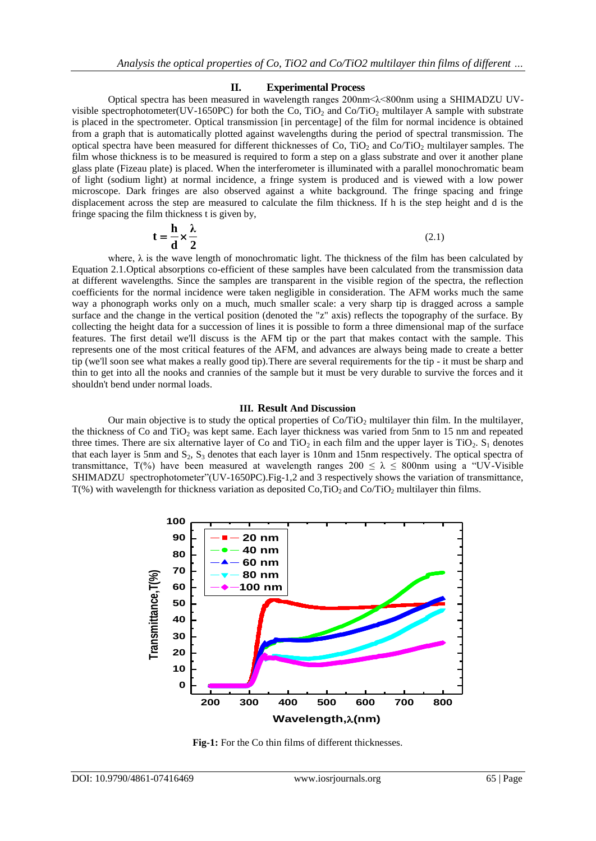#### **II. Experimental Process**

Optical spectra has been measured in wavelength ranges 200nm<λ<800nm using a SHIMADZU UVvisible spectrophotometer(UV-1650PC) for both the Co, TiO<sub>2</sub> and Co/TiO<sub>2</sub> multilayer A sample with substrate is placed in the spectrometer. Optical transmission [in percentage] of the film for normal incidence is obtained from a graph that is automatically plotted against wavelengths during the period of spectral transmission. The optical spectra have been measured for different thicknesses of Co, TiO<sub>2</sub> and Co/TiO<sub>2</sub> multilayer samples. The film whose thickness is to be measured is required to form a step on a glass substrate and over it another plane glass plate (Fizeau plate) is placed. When the interferometer is illuminated with a parallel monochromatic beam of light (sodium light) at normal incidence, a fringe system is produced and is viewed with a low power microscope. Dark fringes are also observed against a white background. The fringe spacing and fringe displacement across the step are measured to calculate the film thickness. If h is the step height and d is the fringe spacing the film thickness t is given by,

$$
\mathbf{t} = \frac{\mathbf{h}}{\mathbf{d}} \times \frac{\lambda}{2}
$$
 (2.1)

where,  $\lambda$  is the wave length of monochromatic light. The thickness of the film has been calculated by Equation 2.1.Optical absorptions co-efficient of these samples have been calculated from the transmission data at different wavelengths. Since the samples are transparent in the visible region of the spectra, the reflection coefficients for the normal incidence were taken negligible in consideration. The AFM works much the same way a phonograph works only on a much, much smaller scale: a very sharp tip is dragged across a sample surface and the change in the vertical position (denoted the "z" axis) reflects the topography of the surface. By collecting the height data for a succession of lines it is possible to form a three dimensional map of the surface features. The first detail we'll discuss is the AFM tip or the part that makes contact with the sample. This represents one of the most critical features of the AFM, and advances are always being made to create a better tip (we'll soon see what makes a really good tip).There are several requirements for the tip - it must be sharp and thin to get into all the nooks and crannies of the sample but it must be very durable to survive the forces and it shouldn't bend under normal loads.

### **III. Result And Discussion**

Our main objective is to study the optical properties of  $Co/TiO<sub>2</sub>$  multilayer thin film. In the multilayer, the thickness of Co and TiO<sub>2</sub> was kept same. Each layer thickness was varied from 5nm to 15 nm and repeated three times. There are six alternative layer of Co and TiO<sub>2</sub> in each film and the upper layer is TiO<sub>2</sub>. S<sub>1</sub> denotes that each layer is 5nm and  $S_2$ ,  $S_3$  denotes that each layer is 10nm and 15nm respectively. The optical spectra of transmittance, T(%) have been measured at wavelength ranges  $200 \le \lambda \le 800$ nm using a "UV-Visible SHIMADZU spectrophotometer"(UV-1650PC).Fig-1,2 and 3 respectively shows the variation of transmittance,  $T$ (%) with wavelength for thickness variation as deposited Co,TiO<sub>2</sub> and Co/TiO<sub>2</sub> multilayer thin films.



**Fig-1:** For the Co thin films of different thicknesses.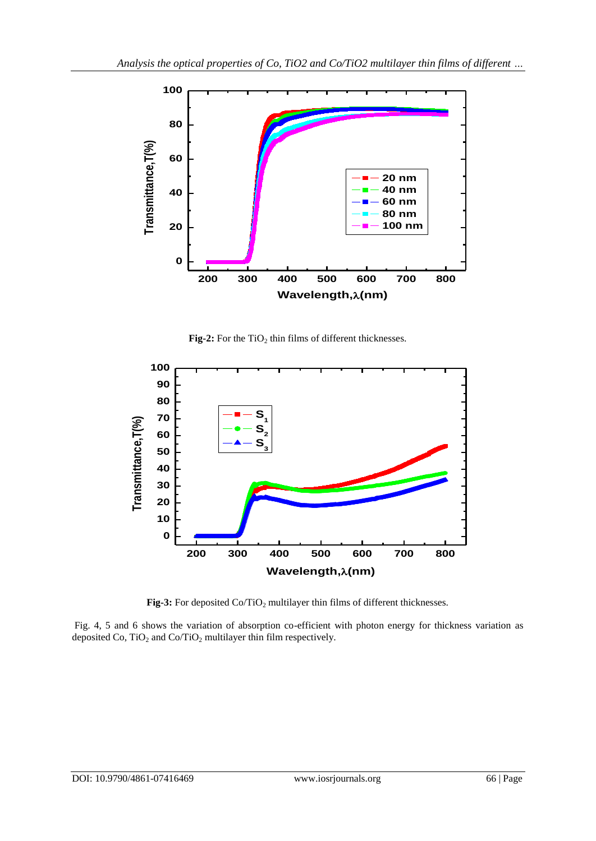

**Fig-2:** For the  $TiO<sub>2</sub>$  thin films of different thicknesses.



**Fig-3:** For deposited  $Co/TiO<sub>2</sub>$  multilayer thin films of different thicknesses.

Fig. 4, 5 and 6 shows the variation of absorption co-efficient with photon energy for thickness variation as deposited Co,  $TiO<sub>2</sub>$  and Co/TiO<sub>2</sub> multilayer thin film respectively.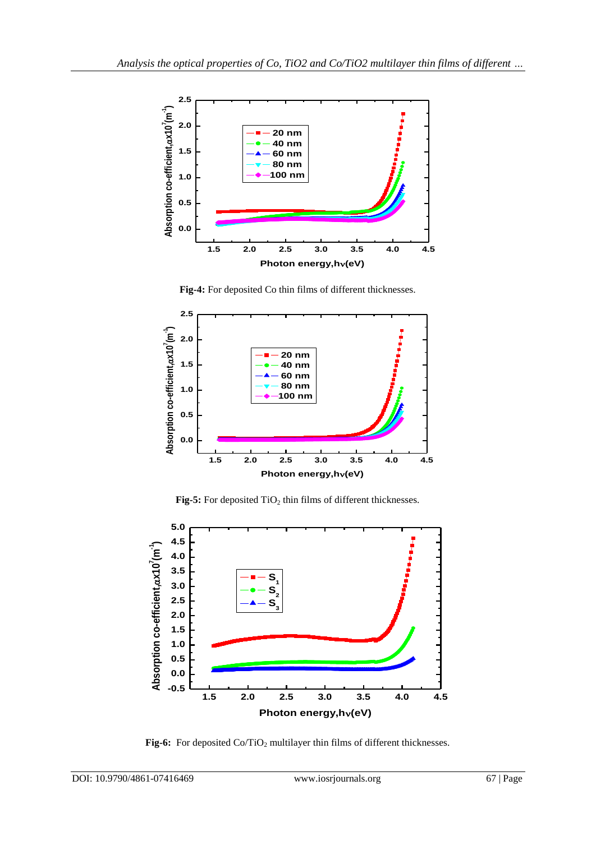

**Fig-4:** For deposited Co thin films of different thicknesses.



Fig-5: For deposited TiO<sub>2</sub> thin films of different thicknesses.



**Fig-6:** For deposited Co/TiO<sub>2</sub> multilayer thin films of different thicknesses.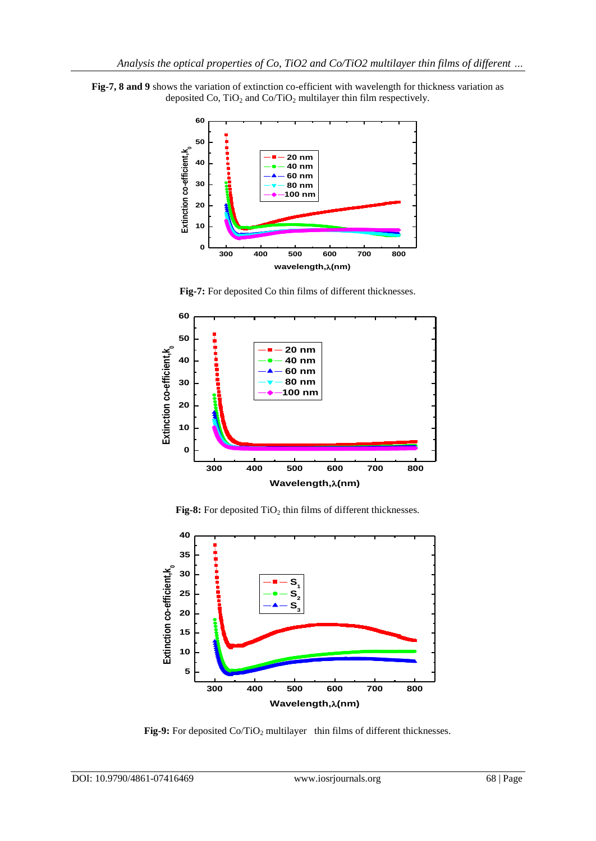**Fig-7, 8 and 9** shows the variation of extinction co-efficient with wavelength for thickness variation as deposited Co, TiO<sub>2</sub> and Co/TiO<sub>2</sub> multilayer thin film respectively.



**Fig-7:** For deposited Co thin films of different thicknesses.



Fig-8: For deposited TiO<sub>2</sub> thin films of different thicknesses.



**Fig-9:** For deposited Co/TiO<sub>2</sub> multilayer thin films of different thicknesses.